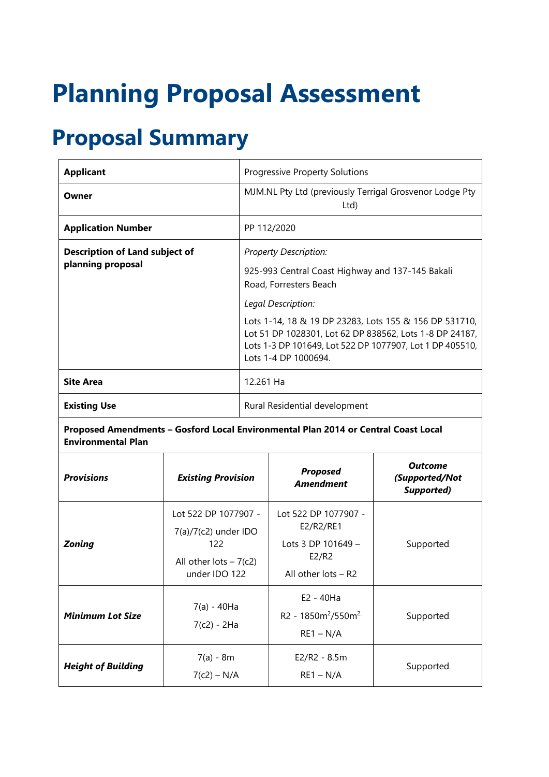# **Planning Proposal Assessment**

# **Proposal Summary**

*Height of Building*

| <b>Applicant</b>                                                                                                |                                                                                                  | <b>Progressive Property Solutions</b>                                                                                                                                                                                                                                                                                              |                                                                                           |                                                |
|-----------------------------------------------------------------------------------------------------------------|--------------------------------------------------------------------------------------------------|------------------------------------------------------------------------------------------------------------------------------------------------------------------------------------------------------------------------------------------------------------------------------------------------------------------------------------|-------------------------------------------------------------------------------------------|------------------------------------------------|
| Owner                                                                                                           |                                                                                                  | MJM.NL Pty Ltd (previously Terrigal Grosvenor Lodge Pty<br>Ltd)                                                                                                                                                                                                                                                                    |                                                                                           |                                                |
| <b>Application Number</b>                                                                                       |                                                                                                  | PP 112/2020                                                                                                                                                                                                                                                                                                                        |                                                                                           |                                                |
| <b>Description of Land subject of</b><br>planning proposal                                                      |                                                                                                  | Property Description:<br>925-993 Central Coast Highway and 137-145 Bakali<br>Road, Forresters Beach<br>Legal Description:<br>Lots 1-14, 18 & 19 DP 23283, Lots 155 & 156 DP 531710,<br>Lot 51 DP 1028301, Lot 62 DP 838562, Lots 1-8 DP 24187,<br>Lots 1-3 DP 101649, Lot 522 DP 1077907, Lot 1 DP 405510,<br>Lots 1-4 DP 1000694. |                                                                                           |                                                |
| <b>Site Area</b>                                                                                                |                                                                                                  | 12.261 Ha                                                                                                                                                                                                                                                                                                                          |                                                                                           |                                                |
| <b>Existing Use</b>                                                                                             |                                                                                                  | Rural Residential development                                                                                                                                                                                                                                                                                                      |                                                                                           |                                                |
| Proposed Amendments - Gosford Local Environmental Plan 2014 or Central Coast Local<br><b>Environmental Plan</b> |                                                                                                  |                                                                                                                                                                                                                                                                                                                                    |                                                                                           |                                                |
| <b>Provisions</b>                                                                                               | <b>Existing Provision</b>                                                                        |                                                                                                                                                                                                                                                                                                                                    | <b>Proposed</b><br><b>Amendment</b>                                                       | <b>Outcome</b><br>(Supported/Not<br>Supported) |
| <b>Zoning</b>                                                                                                   | Lot 522 DP 1077907 -<br>7(a)/7(c2) under IDO<br>122<br>All other $lost - 7(c2)$<br>under IDO 122 |                                                                                                                                                                                                                                                                                                                                    | Lot 522 DP 1077907 -<br>E2/R2/RE1<br>Lots 3 DP 101649 -<br>E2/R2<br>All other $lost - R2$ | Supported                                      |
| <b>Minimum Lot Size</b>                                                                                         | 7(a) - 40Ha<br>$7(c2) - 2Ha$                                                                     |                                                                                                                                                                                                                                                                                                                                    | E2 - 40Ha<br>R2 - 1850m <sup>2</sup> /550m <sup>2.</sup><br>$RE1 - N/A$                   | Supported                                      |

E2/R2 - 8.5m RE1 – N/A

Supported

7(a) - 8m  $7(c2) - N/A$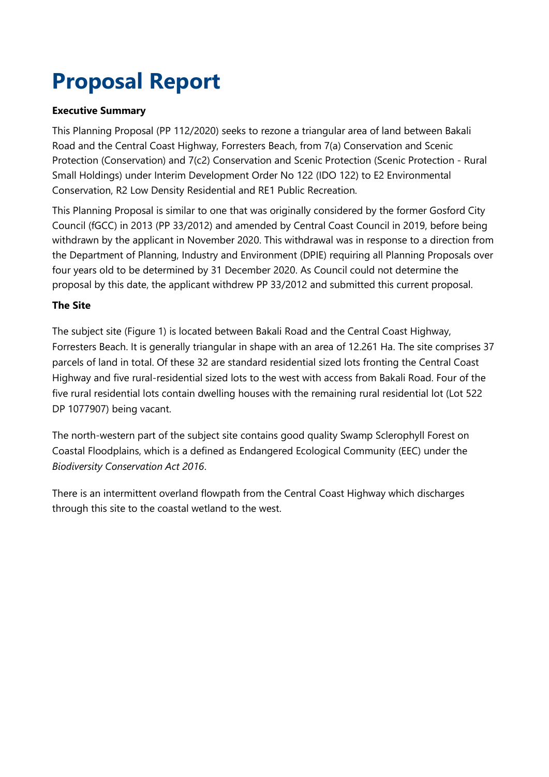# **Proposal Report**

#### **Executive Summary**

This Planning Proposal (PP 112/2020) seeks to rezone a triangular area of land between Bakali Road and the Central Coast Highway, Forresters Beach, from 7(a) Conservation and Scenic Protection (Conservation) and 7(c2) Conservation and Scenic Protection (Scenic Protection - Rural Small Holdings) under Interim Development Order No 122 (IDO 122) to E2 Environmental Conservation, R2 Low Density Residential and RE1 Public Recreation.

This Planning Proposal is similar to one that was originally considered by the former Gosford City Council (fGCC) in 2013 (PP 33/2012) and amended by Central Coast Council in 2019, before being withdrawn by the applicant in November 2020. This withdrawal was in response to a direction from the Department of Planning, Industry and Environment (DPIE) requiring all Planning Proposals over four years old to be determined by 31 December 2020. As Council could not determine the proposal by this date, the applicant withdrew PP 33/2012 and submitted this current proposal.

#### **The Site**

The subject site (Figure 1) is located between Bakali Road and the Central Coast Highway, Forresters Beach. It is generally triangular in shape with an area of 12.261 Ha. The site comprises 37 parcels of land in total. Of these 32 are standard residential sized lots fronting the Central Coast Highway and five rural-residential sized lots to the west with access from Bakali Road. Four of the five rural residential lots contain dwelling houses with the remaining rural residential lot (Lot 522 DP 1077907) being vacant.

The north-western part of the subject site contains good quality Swamp Sclerophyll Forest on Coastal Floodplains, which is a defined as Endangered Ecological Community (EEC) under the *Biodiversity Conservation Act 2016*.

There is an intermittent overland flowpath from the Central Coast Highway which discharges through this site to the coastal wetland to the west.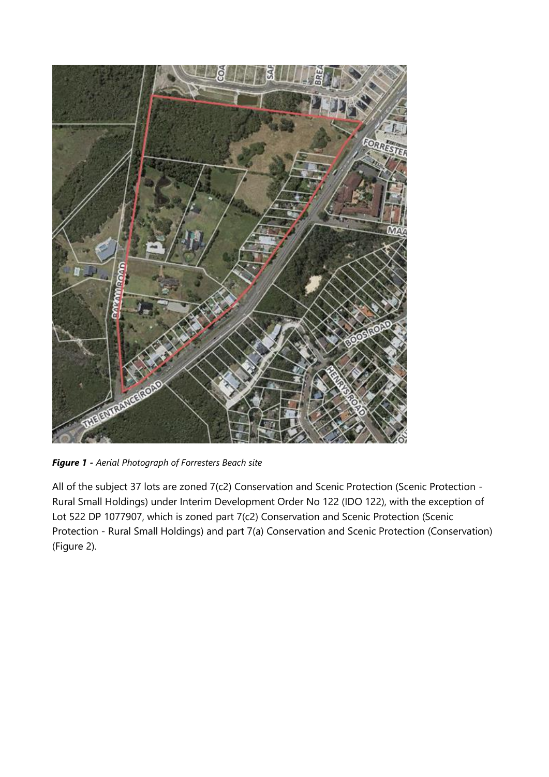

*Figure 1 - Aerial Photograph of Forresters Beach site* 

All of the subject 37 lots are zoned 7(c2) Conservation and Scenic Protection (Scenic Protection - Rural Small Holdings) under Interim Development Order No 122 (IDO 122), with the exception of Lot 522 DP 1077907, which is zoned part 7(c2) Conservation and Scenic Protection (Scenic Protection - Rural Small Holdings) and part 7(a) Conservation and Scenic Protection (Conservation) (Figure 2).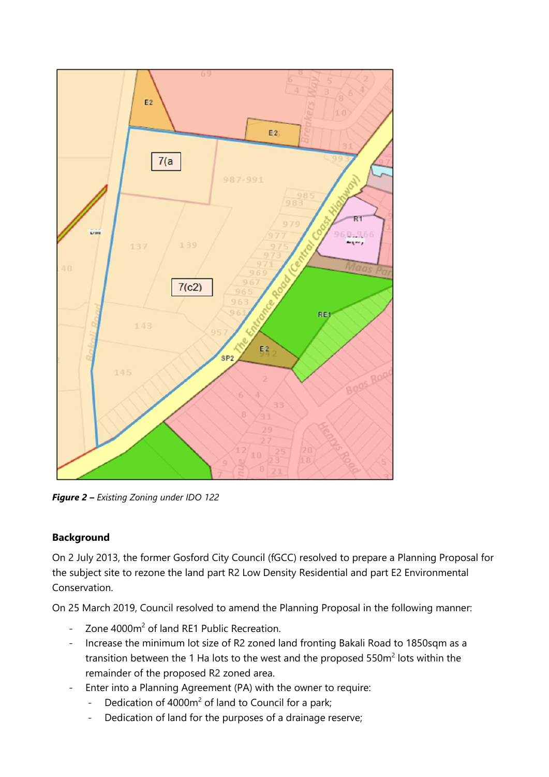

*Figure 2 – Existing Zoning under IDO 122*

## **Background**

On 2 July 2013, the former Gosford City Council (fGCC) resolved to prepare a Planning Proposal for the subject site to rezone the land part R2 Low Density Residential and part E2 Environmental Conservation.

On 25 March 2019, Council resolved to amend the Planning Proposal in the following manner:

- Zone 4000m<sup>2</sup> of land RE1 Public Recreation.
- Increase the minimum lot size of R2 zoned land fronting Bakali Road to 1850sqm as a transition between the 1 Ha lots to the west and the proposed  $550m<sup>2</sup>$  lots within the remainder of the proposed R2 zoned area.
- Enter into a Planning Agreement (PA) with the owner to require:
	- Dedication of  $4000m^2$  of land to Council for a park;
	- Dedication of land for the purposes of a drainage reserve;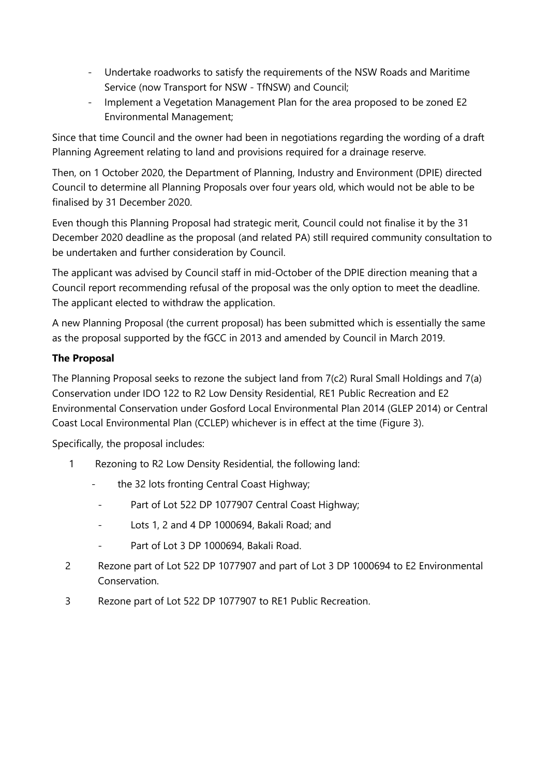- Undertake roadworks to satisfy the requirements of the NSW Roads and Maritime Service (now Transport for NSW - TfNSW) and Council;
- Implement a Vegetation Management Plan for the area proposed to be zoned E2 Environmental Management;

Since that time Council and the owner had been in negotiations regarding the wording of a draft Planning Agreement relating to land and provisions required for a drainage reserve.

Then, on 1 October 2020, the Department of Planning, Industry and Environment (DPIE) directed Council to determine all Planning Proposals over four years old, which would not be able to be finalised by 31 December 2020.

Even though this Planning Proposal had strategic merit, Council could not finalise it by the 31 December 2020 deadline as the proposal (and related PA) still required community consultation to be undertaken and further consideration by Council.

The applicant was advised by Council staff in mid-October of the DPIE direction meaning that a Council report recommending refusal of the proposal was the only option to meet the deadline. The applicant elected to withdraw the application.

A new Planning Proposal (the current proposal) has been submitted which is essentially the same as the proposal supported by the fGCC in 2013 and amended by Council in March 2019.

# **The Proposal**

The Planning Proposal seeks to rezone the subject land from 7(c2) Rural Small Holdings and 7(a) Conservation under IDO 122 to R2 Low Density Residential, RE1 Public Recreation and E2 Environmental Conservation under Gosford Local Environmental Plan 2014 (GLEP 2014) or Central Coast Local Environmental Plan (CCLEP) whichever is in effect at the time (Figure 3).

Specifically, the proposal includes:

- 1 Rezoning to R2 Low Density Residential, the following land:
	- the 32 lots fronting Central Coast Highway;
	- Part of Lot 522 DP 1077907 Central Coast Highway;
	- Lots 1, 2 and 4 DP 1000694, Bakali Road; and
	- Part of Lot 3 DP 1000694, Bakali Road.
- 2 Rezone part of Lot 522 DP 1077907 and part of Lot 3 DP 1000694 to E2 Environmental Conservation.
- 3 Rezone part of Lot 522 DP 1077907 to RE1 Public Recreation.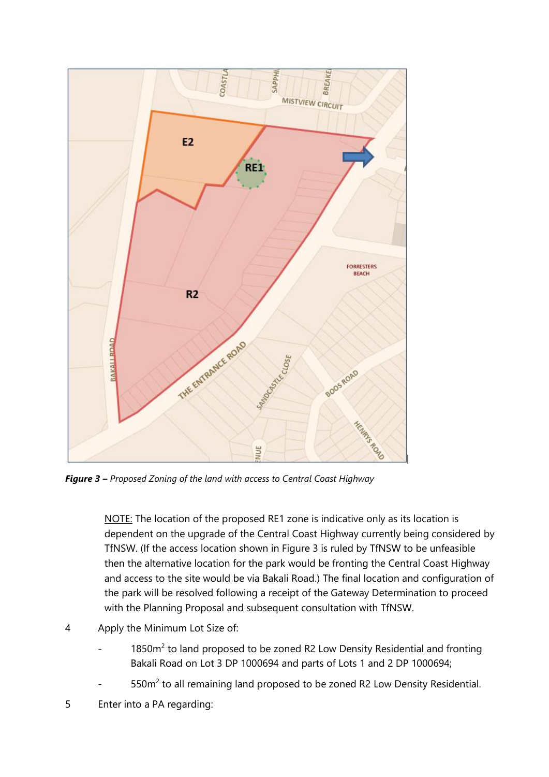

*Figure 3 – Proposed Zoning of the land with access to Central Coast Highway*

NOTE: The location of the proposed RE1 zone is indicative only as its location is dependent on the upgrade of the Central Coast Highway currently being considered by TfNSW. (If the access location shown in Figure 3 is ruled by TfNSW to be unfeasible then the alternative location for the park would be fronting the Central Coast Highway and access to the site would be via Bakali Road.) The final location and configuration of the park will be resolved following a receipt of the Gateway Determination to proceed with the Planning Proposal and subsequent consultation with TfNSW.

- 4 Apply the Minimum Lot Size of:
	- 1850m<sup>2</sup> to land proposed to be zoned R2 Low Density Residential and fronting Bakali Road on Lot 3 DP 1000694 and parts of Lots 1 and 2 DP 1000694;
	- 550m<sup>2</sup> to all remaining land proposed to be zoned R2 Low Density Residential.
- 5 Enter into a PA regarding: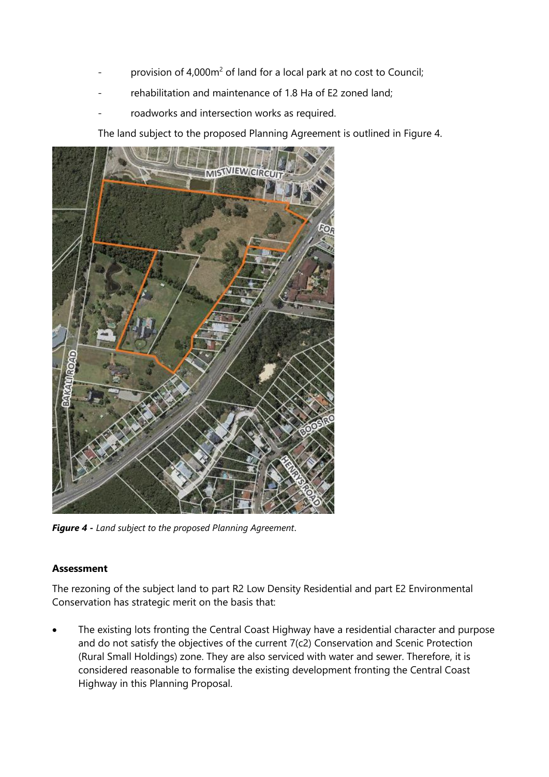- provision of  $4,000m^2$  of land for a local park at no cost to Council;
- rehabilitation and maintenance of 1.8 Ha of E2 zoned land;
- roadworks and intersection works as required.

The land subject to the proposed Planning Agreement is outlined in Figure 4.



*Figure 4 - Land subject to the proposed Planning Agreement*.

#### **Assessment**

The rezoning of the subject land to part R2 Low Density Residential and part E2 Environmental Conservation has strategic merit on the basis that:

The existing lots fronting the Central Coast Highway have a residential character and purpose and do not satisfy the objectives of the current 7(c2) Conservation and Scenic Protection (Rural Small Holdings) zone. They are also serviced with water and sewer. Therefore, it is considered reasonable to formalise the existing development fronting the Central Coast Highway in this Planning Proposal.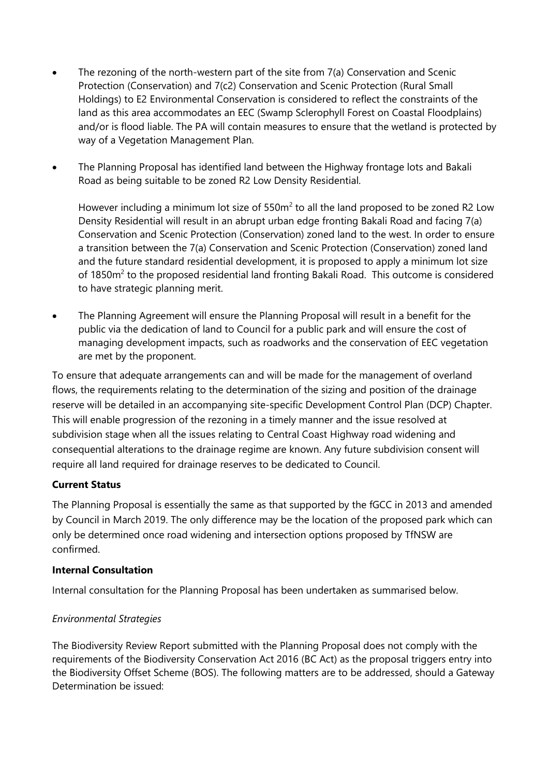- The rezoning of the north-western part of the site from 7(a) Conservation and Scenic Protection (Conservation) and 7(c2) Conservation and Scenic Protection (Rural Small Holdings) to E2 Environmental Conservation is considered to reflect the constraints of the land as this area accommodates an EEC (Swamp Sclerophyll Forest on Coastal Floodplains) and/or is flood liable. The PA will contain measures to ensure that the wetland is protected by way of a Vegetation Management Plan.
- The Planning Proposal has identified land between the Highway frontage lots and Bakali Road as being suitable to be zoned R2 Low Density Residential.

However including a minimum lot size of  $550m<sup>2</sup>$  to all the land proposed to be zoned R2 Low Density Residential will result in an abrupt urban edge fronting Bakali Road and facing 7(a) Conservation and Scenic Protection (Conservation) zoned land to the west. In order to ensure a transition between the 7(a) Conservation and Scenic Protection (Conservation) zoned land and the future standard residential development, it is proposed to apply a minimum lot size of 1850m<sup>2</sup> to the proposed residential land fronting Bakali Road. This outcome is considered to have strategic planning merit.

• The Planning Agreement will ensure the Planning Proposal will result in a benefit for the public via the dedication of land to Council for a public park and will ensure the cost of managing development impacts, such as roadworks and the conservation of EEC vegetation are met by the proponent.

To ensure that adequate arrangements can and will be made for the management of overland flows, the requirements relating to the determination of the sizing and position of the drainage reserve will be detailed in an accompanying site-specific Development Control Plan (DCP) Chapter. This will enable progression of the rezoning in a timely manner and the issue resolved at subdivision stage when all the issues relating to Central Coast Highway road widening and consequential alterations to the drainage regime are known. Any future subdivision consent will require all land required for drainage reserves to be dedicated to Council.

#### **Current Status**

The Planning Proposal is essentially the same as that supported by the fGCC in 2013 and amended by Council in March 2019. The only difference may be the location of the proposed park which can only be determined once road widening and intersection options proposed by TfNSW are confirmed.

#### **Internal Consultation**

Internal consultation for the Planning Proposal has been undertaken as summarised below.

#### *Environmental Strategies*

The Biodiversity Review Report submitted with the Planning Proposal does not comply with the requirements of the Biodiversity Conservation Act 2016 (BC Act) as the proposal triggers entry into the Biodiversity Offset Scheme (BOS). The following matters are to be addressed, should a Gateway Determination be issued: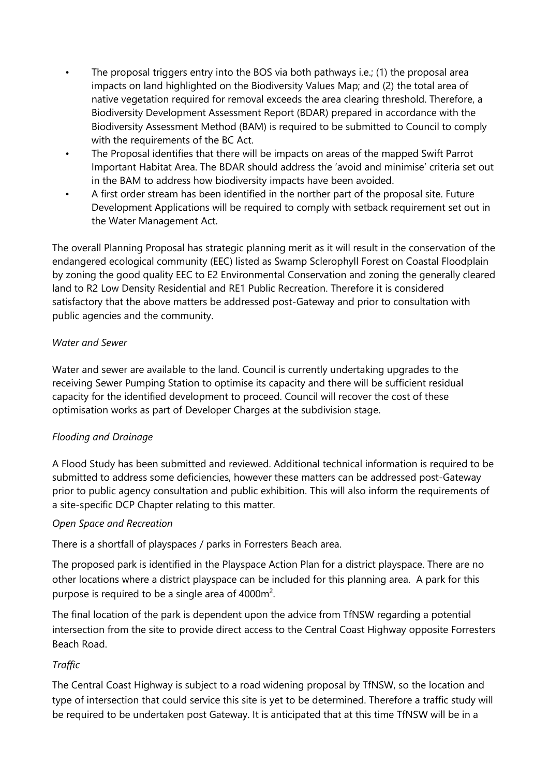- The proposal triggers entry into the BOS via both pathways i.e.; (1) the proposal area impacts on land highlighted on the Biodiversity Values Map; and (2) the total area of native vegetation required for removal exceeds the area clearing threshold. Therefore, a Biodiversity Development Assessment Report (BDAR) prepared in accordance with the Biodiversity Assessment Method (BAM) is required to be submitted to Council to comply with the requirements of the BC Act.
- The Proposal identifies that there will be impacts on areas of the mapped Swift Parrot Important Habitat Area. The BDAR should address the 'avoid and minimise' criteria set out in the BAM to address how biodiversity impacts have been avoided.
- A first order stream has been identified in the norther part of the proposal site. Future Development Applications will be required to comply with setback requirement set out in the Water Management Act.

The overall Planning Proposal has strategic planning merit as it will result in the conservation of the endangered ecological community (EEC) listed as Swamp Sclerophyll Forest on Coastal Floodplain by zoning the good quality EEC to E2 Environmental Conservation and zoning the generally cleared land to R2 Low Density Residential and RE1 Public Recreation. Therefore it is considered satisfactory that the above matters be addressed post-Gateway and prior to consultation with public agencies and the community.

#### *Water and Sewer*

Water and sewer are available to the land. Council is currently undertaking upgrades to the receiving Sewer Pumping Station to optimise its capacity and there will be sufficient residual capacity for the identified development to proceed. Council will recover the cost of these optimisation works as part of Developer Charges at the subdivision stage.

## *Flooding and Drainage*

A Flood Study has been submitted and reviewed. Additional technical information is required to be submitted to address some deficiencies, however these matters can be addressed post-Gateway prior to public agency consultation and public exhibition. This will also inform the requirements of a site-specific DCP Chapter relating to this matter.

#### *Open Space and Recreation*

There is a shortfall of playspaces / parks in Forresters Beach area.

The proposed park is identified in the Playspace Action Plan for a district playspace. There are no other locations where a district playspace can be included for this planning area. A park for this purpose is required to be a single area of  $4000$ m<sup>2</sup>.

The final location of the park is dependent upon the advice from TfNSW regarding a potential intersection from the site to provide direct access to the Central Coast Highway opposite Forresters Beach Road.

## *Traffic*

The Central Coast Highway is subject to a road widening proposal by TfNSW, so the location and type of intersection that could service this site is yet to be determined. Therefore a traffic study will be required to be undertaken post Gateway. It is anticipated that at this time TfNSW will be in a